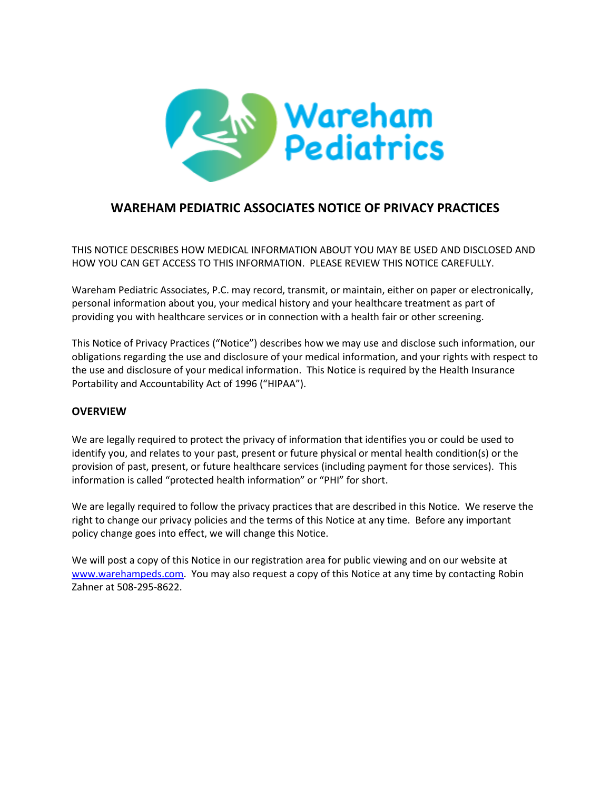

# **WAREHAM PEDIATRIC ASSOCIATES NOTICE OF PRIVACY PRACTICES**

THIS NOTICE DESCRIBES HOW MEDICAL INFORMATION ABOUT YOU MAY BE USED AND DISCLOSED AND HOW YOU CAN GET ACCESS TO THIS INFORMATION. PLEASE REVIEW THIS NOTICE CAREFULLY.

Wareham Pediatric Associates, P.C. may record, transmit, or maintain, either on paper or electronically, personal information about you, your medical history and your healthcare treatment as part of providing you with healthcare services or in connection with a health fair or other screening.

This Notice of Privacy Practices ("Notice") describes how we may use and disclose such information, our obligations regarding the use and disclosure of your medical information, and your rights with respect to the use and disclosure of your medical information. This Notice is required by the Health Insurance Portability and Accountability Act of 1996 ("HIPAA").

#### **OVERVIEW**

We are legally required to protect the privacy of information that identifies you or could be used to identify you, and relates to your past, present or future physical or mental health condition(s) or the provision of past, present, or future healthcare services (including payment for those services). This information is called "protected health information" or "PHI" for short.

We are legally required to follow the privacy practices that are described in this Notice. We reserve the right to change our privacy policies and the terms of this Notice at any time. Before any important policy change goes into effect, we will change this Notice.

We will post a copy of this Notice in our registration area for public viewing and on our website at [www.warehampeds.com.](http://www.warehampeds.com/) You may also request a copy of this Notice at any time by contacting Robin Zahner at 508-295-8622.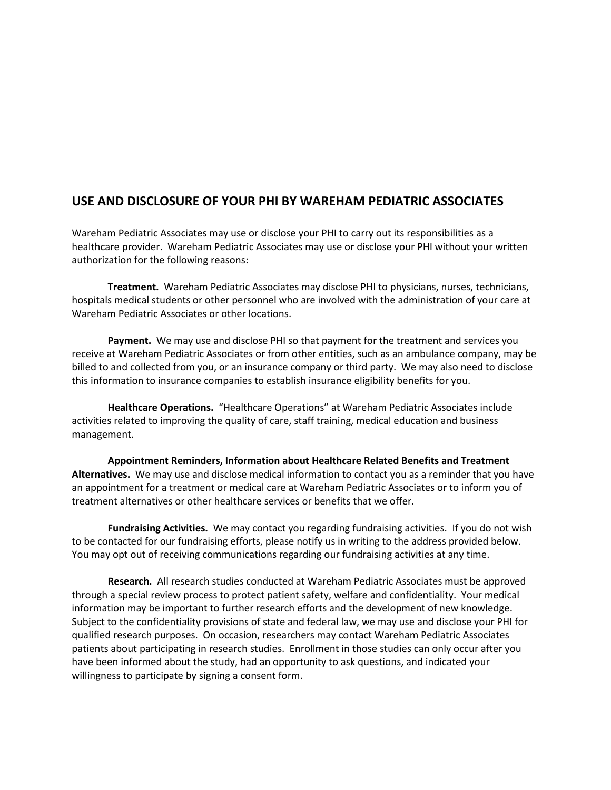# **USE AND DISCLOSURE OF YOUR PHI BY WAREHAM PEDIATRIC ASSOCIATES**

Wareham Pediatric Associates may use or disclose your PHI to carry out its responsibilities as a healthcare provider. Wareham Pediatric Associates may use or disclose your PHI without your written authorization for the following reasons:

**Treatment.** Wareham Pediatric Associates may disclose PHI to physicians, nurses, technicians, hospitals medical students or other personnel who are involved with the administration of your care at Wareham Pediatric Associates or other locations.

**Payment.** We may use and disclose PHI so that payment for the treatment and services you receive at Wareham Pediatric Associates or from other entities, such as an ambulance company, may be billed to and collected from you, or an insurance company or third party. We may also need to disclose this information to insurance companies to establish insurance eligibility benefits for you.

**Healthcare Operations.** "Healthcare Operations" at Wareham Pediatric Associates include activities related to improving the quality of care, staff training, medical education and business management.

**Appointment Reminders, Information about Healthcare Related Benefits and Treatment Alternatives.** We may use and disclose medical information to contact you as a reminder that you have an appointment for a treatment or medical care at Wareham Pediatric Associates or to inform you of treatment alternatives or other healthcare services or benefits that we offer.

**Fundraising Activities.** We may contact you regarding fundraising activities. If you do not wish to be contacted for our fundraising efforts, please notify us in writing to the address provided below. You may opt out of receiving communications regarding our fundraising activities at any time.

**Research.** All research studies conducted at Wareham Pediatric Associates must be approved through a special review process to protect patient safety, welfare and confidentiality. Your medical information may be important to further research efforts and the development of new knowledge. Subject to the confidentiality provisions of state and federal law, we may use and disclose your PHI for qualified research purposes. On occasion, researchers may contact Wareham Pediatric Associates patients about participating in research studies. Enrollment in those studies can only occur after you have been informed about the study, had an opportunity to ask questions, and indicated your willingness to participate by signing a consent form.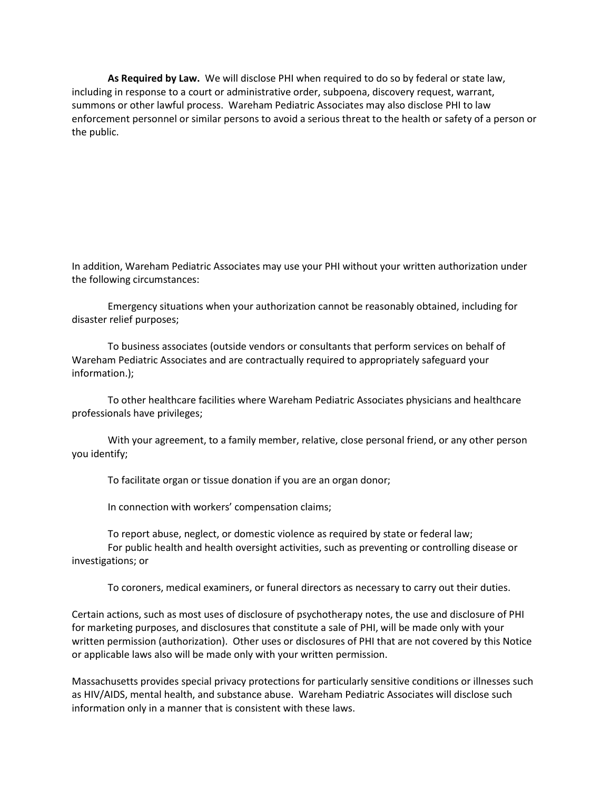**As Required by Law.** We will disclose PHI when required to do so by federal or state law, including in response to a court or administrative order, subpoena, discovery request, warrant, summons or other lawful process. Wareham Pediatric Associates may also disclose PHI to law enforcement personnel or similar persons to avoid a serious threat to the health or safety of a person or the public.

In addition, Wareham Pediatric Associates may use your PHI without your written authorization under the following circumstances:

Emergency situations when your authorization cannot be reasonably obtained, including for disaster relief purposes;

To business associates (outside vendors or consultants that perform services on behalf of Wareham Pediatric Associates and are contractually required to appropriately safeguard your information.);

To other healthcare facilities where Wareham Pediatric Associates physicians and healthcare professionals have privileges;

With your agreement, to a family member, relative, close personal friend, or any other person you identify;

To facilitate organ or tissue donation if you are an organ donor;

In connection with workers' compensation claims;

To report abuse, neglect, or domestic violence as required by state or federal law; For public health and health oversight activities, such as preventing or controlling disease or investigations; or

To coroners, medical examiners, or funeral directors as necessary to carry out their duties.

Certain actions, such as most uses of disclosure of psychotherapy notes, the use and disclosure of PHI for marketing purposes, and disclosures that constitute a sale of PHI, will be made only with your written permission (authorization). Other uses or disclosures of PHI that are not covered by this Notice or applicable laws also will be made only with your written permission.

Massachusetts provides special privacy protections for particularly sensitive conditions or illnesses such as HIV/AIDS, mental health, and substance abuse. Wareham Pediatric Associates will disclose such information only in a manner that is consistent with these laws.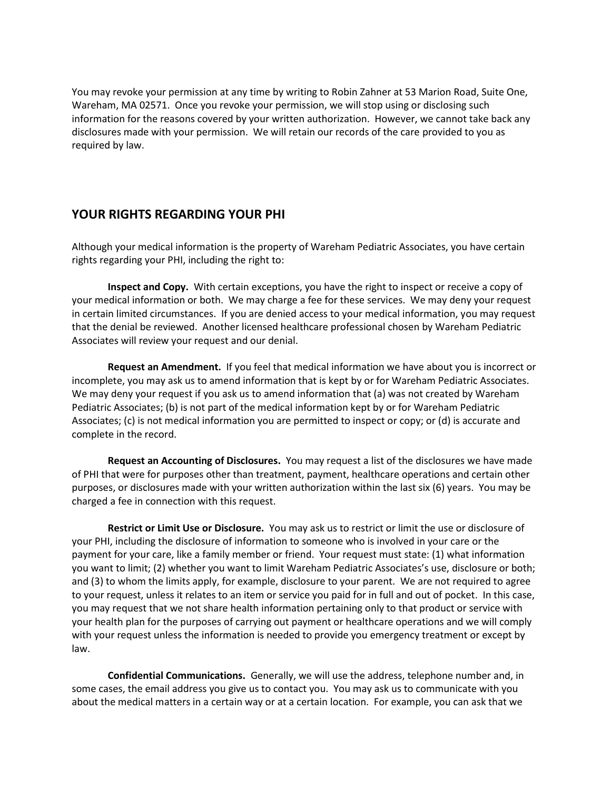You may revoke your permission at any time by writing to Robin Zahner at 53 Marion Road, Suite One, Wareham, MA 02571. Once you revoke your permission, we will stop using or disclosing such information for the reasons covered by your written authorization. However, we cannot take back any disclosures made with your permission. We will retain our records of the care provided to you as required by law.

### **YOUR RIGHTS REGARDING YOUR PHI**

Although your medical information is the property of Wareham Pediatric Associates, you have certain rights regarding your PHI, including the right to:

**Inspect and Copy.** With certain exceptions, you have the right to inspect or receive a copy of your medical information or both. We may charge a fee for these services. We may deny your request in certain limited circumstances. If you are denied access to your medical information, you may request that the denial be reviewed. Another licensed healthcare professional chosen by Wareham Pediatric Associates will review your request and our denial.

**Request an Amendment.** If you feel that medical information we have about you is incorrect or incomplete, you may ask us to amend information that is kept by or for Wareham Pediatric Associates. We may deny your request if you ask us to amend information that (a) was not created by Wareham Pediatric Associates; (b) is not part of the medical information kept by or for Wareham Pediatric Associates; (c) is not medical information you are permitted to inspect or copy; or (d) is accurate and complete in the record.

**Request an Accounting of Disclosures.** You may request a list of the disclosures we have made of PHI that were for purposes other than treatment, payment, healthcare operations and certain other purposes, or disclosures made with your written authorization within the last six (6) years. You may be charged a fee in connection with this request.

**Restrict or Limit Use or Disclosure.** You may ask us to restrict or limit the use or disclosure of your PHI, including the disclosure of information to someone who is involved in your care or the payment for your care, like a family member or friend. Your request must state: (1) what information you want to limit; (2) whether you want to limit Wareham Pediatric Associates's use, disclosure or both; and (3) to whom the limits apply, for example, disclosure to your parent. We are not required to agree to your request, unless it relates to an item or service you paid for in full and out of pocket. In this case, you may request that we not share health information pertaining only to that product or service with your health plan for the purposes of carrying out payment or healthcare operations and we will comply with your request unless the information is needed to provide you emergency treatment or except by law.

**Confidential Communications.** Generally, we will use the address, telephone number and, in some cases, the email address you give us to contact you. You may ask us to communicate with you about the medical matters in a certain way or at a certain location. For example, you can ask that we